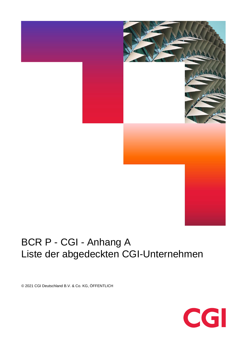

## BCR P - CGI - Anhang A Liste der abgedeckten CGI-Unternehmen

© 2021 CGI Deutschland B.V. & Co. KG, ÖFFENTLICH

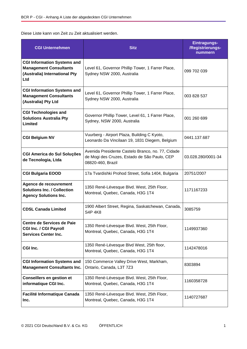Diese Liste kann von Zeit zu Zeit aktualisiert werden.

| <b>CGI Unternehmen</b>                                                                                      | <b>Sitz</b>                                                                                                            | Eintragungs-<br>/Registrierungs-<br>nummern |
|-------------------------------------------------------------------------------------------------------------|------------------------------------------------------------------------------------------------------------------------|---------------------------------------------|
| <b>CGI Information Systems and</b><br><b>Management Consultants</b><br>(Australia) International Pty<br>Ltd | Level 61, Governor Phillip Tower, 1 Farrer Place,<br>Sydney NSW 2000, Australia                                        | 099 702 039                                 |
| <b>CGI Information Systems and</b><br><b>Management Consultants</b><br>(Australia) Pty Ltd                  | Level 61, Governor Phillip Tower, 1 Farrer Place,<br>Sydney NSW 2000, Australia                                        | 003 828 537                                 |
| <b>CGI Technologies and</b><br><b>Solutions Australia Pty</b><br>Limited                                    | Governor Phillip Tower, Level 61, 1 Farrer Place,<br>Sydney, NSW 2000, Australia                                       | 001 260 699                                 |
| <b>CGI Belgium NV</b>                                                                                       | Vuurberg - Airport Plaza, Building C Kyoto,<br>Leonardo Da Vincilaan 19, 1831 Diegem, Belgium                          | 0441.137.687                                |
| <b>CGI America do Sul Soluções</b><br>de Tecnologia, Ltda                                                   | Avenida Presidente Castelo Branco, no. 77, Cidade<br>de Mogi des Cruzes, Estado de São Paulo, CEP<br>08820-460, Brazil | 03.028.280/0001-34                          |
| <b>CGI Bulgaria EOOD</b>                                                                                    | 17a Tvardishki Prohod Street, Sofia 1404, Bulgaria                                                                     | 20751/2007                                  |
| Agence de recouvrement<br><b>Solutions Inc. / Collection</b><br><b>Agency Solutions Inc.</b>                | 1350 René-Lévesque Blvd. West, 25th Floor,<br>Montreal, Quebec, Canada, H3G 1T4                                        | 1171167233                                  |
| <b>CDSL Canada Limited</b>                                                                                  | 1900 Albert Street, Regina, Saskatchewan, Canada,<br><b>S4P 4K8</b>                                                    | 3085759                                     |
| Centre de Services de Paie<br><b>CGI Inc. / CGI Payroll</b><br><b>Services Center Inc.</b>                  | 1350 René-Lévesque Blvd. West, 25th Floor,<br>Montreal, Quebec, Canada, H3G 1T4                                        | 1149937360                                  |
| CGI Inc.                                                                                                    | 1350 René-Lévesque Blvd West, 25th floor,<br>Montreal, Quebec, Canada, H3G 1T4                                         | 1142478016                                  |
| <b>CGI Information Systems and</b><br><b>Management Consultants Inc.</b>                                    | 150 Commerce Valley Drive West, Markham,<br>Ontario, Canada, L3T 7Z3                                                   | 8303894                                     |
| <b>Conseillers en gestion et</b><br>informatique CGI Inc.                                                   | 1350 René-Lévesque Blvd. West, 25th Floor,<br>Montreal, Quebec, Canada, H3G 1T4                                        | 1160358728                                  |
| Facilité Informatique Canada<br>Inc.                                                                        | 1350 René-Lévesque Blvd. West, 25th Floor,<br>Montreal, Quebec, Canada, H3G 1T4                                        | 1140727687                                  |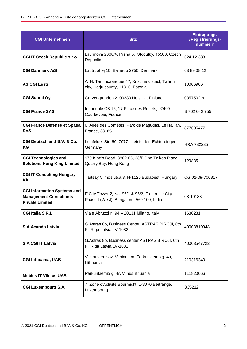| <b>CGI Unternehmen</b>                                                                        | <b>Sitz</b>                                                                                   | Eintragungs-<br>/Registrierungs-<br>nummern |
|-----------------------------------------------------------------------------------------------|-----------------------------------------------------------------------------------------------|---------------------------------------------|
| <b>CGI IT Czech Republic s.r.o.</b>                                                           | Laurinova 2800/4, Praha 5, Stodůlky, 15500, Czech<br>Republic                                 | 624 12 388                                  |
| <b>CGI Danmark A/S</b>                                                                        | Lautruphøj 10, Ballerup 2750, Denmark                                                         | 63 89 08 12                                 |
| <b>AS CGI Eesti</b>                                                                           | A. H. Tammsaare tee 47, Kristiine district, Tallinn<br>city, Harju county, 11316, Estonia     | 10006966                                    |
| <b>CGI Suomi Oy</b>                                                                           | Garverigranden 2, 00380 Helsinki, Finland                                                     | 0357502-9                                   |
| <b>CGI France SAS</b>                                                                         | Immeuble CB 16, 17 Place des Reflets, 92400<br>Courbevoie, France                             | B 702 042 755                               |
| <b>CGI France Défense et Spatial</b><br><b>SAS</b>                                            | 6, Allée des Comètes, Parc de Magudas, Le Haillan,<br>France, 33185                           | 877605477                                   |
| <b>CGI Deutschland B.V. &amp; Co.</b><br>KG                                                   | Leinfelder Str. 60, 70771 Leinfelden-Echterdingen,<br>Germany                                 | HRA 732235                                  |
| <b>CGI Technologies and</b><br><b>Solutions Hong King Limited</b>                             | 979 King's Road, 3802-06, 38/F One Taikoo Place<br>Quarry Bay, Hong Kong                      | 129835                                      |
| <b>CGI IT Consulting Hungary</b><br>Kft.                                                      | Tartsay Vilmos utca 3, H-1126 Budapest, Hungary                                               | CG 01-09-700817                             |
| <b>CGI Information Systems and</b><br><b>Management Consultants</b><br><b>Private Limited</b> | E.City Tower 2, No. 95/1 & 95/2, Electronic City<br>Phase I (West), Bangalore, 560 100, India | 08-19138                                    |
| <b>CGI Italia S.R.L.</b>                                                                      | Viale Abruzzi n. 94 - 20131 Milano, Italy                                                     | 1630231                                     |
| <b>SIA Acando Latvia</b>                                                                      | G.Astras 8b, Business Center, ASTRAS BIROJI, 6th<br>Fl. Riga Latvia LV-1082                   | 40003819948                                 |
| <b>SIA CGI IT Latvia</b>                                                                      | G.Astras 8b, Business center ASTRAS BIROJI, 6th<br>Fl. Riga Latvia LV-1082                    | 40003547722                                 |
| <b>CGI Lithuania, UAB</b>                                                                     | Vilniaus m. sav. Vilniaus m. Perkunkiemo g. 4a,<br>Lithuania                                  | 210316340                                   |
| <b>Mebius IT Vilnius UAB</b>                                                                  | Perkunkiemio g. 4A Vilnus lithuania                                                           | 111820666                                   |
| <b>CGI Luxembourg S.A.</b>                                                                    | 7, Zone d'Activité Bourmicht, L-8070 Bertrange,<br>Luxembourg                                 | B35212                                      |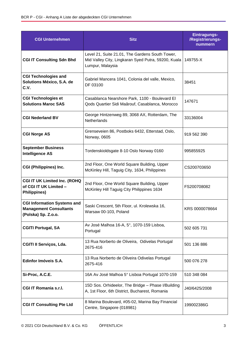| <b>CGI Unternehmen</b>                                                                     | <b>Sitz</b>                                                                                                                | Eintragungs-<br>/Registrierungs-<br>nummern |
|--------------------------------------------------------------------------------------------|----------------------------------------------------------------------------------------------------------------------------|---------------------------------------------|
| <b>CGI IT Consulting Sdn Bhd</b>                                                           | Level 21, Suite 21.01, The Gardens South Tower,<br>Mid Valley City, Lingkaran Syed Putra, 59200, Kuala<br>Lumpur, Malaysia | 149755-X                                    |
| <b>CGI Technologies and</b><br>Solutions México, S.A. de<br>C.V.                           | Gabriel Mancera 1041, Colonia del valle, Mexico,<br>DF 03100                                                               | 38451                                       |
| <b>CGI Technologies et</b><br><b>Solutions Maroc SAS</b>                                   | Casablanca Nearshore Park, 1100 - Boulevard El<br>Qods Quartier Sidi Maârouf, Casablanca, Morocco                          | 147671                                      |
| <b>CGI Nederland BV</b>                                                                    | George Hintzenweg 89, 3068 AX, Rotterdam, The<br>Netherlands                                                               | 33136004                                    |
| <b>CGI Norge AS</b>                                                                        | Grenseveien 86, Postboks 6432, Etterstad, Oslo,<br>Norway, 0605                                                            | 919 562 390                                 |
| <b>September Business</b><br><b>Intelligence AS</b>                                        | Tordenskioldsgate 8-10 Oslo Norway 0160                                                                                    | 995855925                                   |
| <b>CGI (Philippines) Inc.</b>                                                              | 2nd Floor, One World Square Building, Upper<br>McKinley Hill, Taguig City, 1634, Philippines                               | CS200703650                                 |
| <b>CGI IT UK Limited Inc. (ROHQ</b><br>of CGI IT UK Limited -<br><b>Philippines)</b>       | 2nd Floor, One World Square Building, Upper<br>McKinley Hill Taguig City Philippines 1634                                  | FS200708082                                 |
| <b>CGI Information Systems and</b><br><b>Management Consultants</b><br>(Polska) Sp. Z.o.o. | Saski Crescent, 5th Floor, ul. Krolewska 16,<br>Warsaw 00-103, Poland                                                      | KRS 0000078664                              |
| <b>CGITI Portugal, SA</b>                                                                  | Av José Malhoa 16-A, 5°, 1070-159 Lisboa,<br>Portugal                                                                      | 502 605 731                                 |
| CGITI II Serviços, Lda.                                                                    | 13 Rua Norberto de Oliveira, Odivelas Portugal<br>2675-416                                                                 | 501 136 886                                 |
| Edinfor Imóveis S.A.                                                                       | 13 Rua Norberto de Oliveira Odivelas Portugal<br>2675-416                                                                  | 500 076 278                                 |
| Si-Proc, A.C.E.                                                                            | 16A Av José Malhoa 5° Lisboa Portugal 1070-159                                                                             | 510 348 084                                 |
| <b>CGI IT Romania s.r.l.</b>                                                               | 15D Sos. Orhideelor, The Bridge - Phase I/Building<br>A, 1st Floor, 6th District, Bucharest, Romania                       | J40/6425/2008                               |
| <b>CGI IT Consulting Pte Ltd</b>                                                           | 8 Marina Boulevard, #05-02, Marina Bay Financial<br>Centre, Singapore (018981)                                             | 199002386G                                  |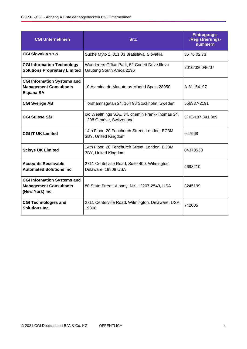| <b>CGI Unternehmen</b>                                                                  | <b>Sitz</b>                                                                  | Eintragungs-<br>/Registrierungs-<br>nummern |
|-----------------------------------------------------------------------------------------|------------------------------------------------------------------------------|---------------------------------------------|
| <b>CGI Slovakia s.r.o.</b>                                                              | Suché Mýto 1, 811 03 Bratislava, Slovakia                                    | 35 76 02 73                                 |
| <b>CGI Information Technology</b><br><b>Solutions Proprietary Limited</b>               | Wanderers Office Park, 52 Corlett Drive Illovo<br>Gauteng South Africa 2196  | 2010/020046/07                              |
| <b>CGI Information Systems and</b><br><b>Management Consultants</b><br><b>Espana SA</b> | 10 Avenida de Manoteras Madrid Spain 28050                                   | A-81154197                                  |
| <b>CGI Sverige AB</b>                                                                   | Torshamnsgatan 24, 164 98 Stockholm, Sweden                                  | 556337-2191                                 |
| <b>CGI Suisse Sàrl</b>                                                                  | c/o Wealthings S.A., 34, chemin Frank-Thomas 34,<br>1208 Genève, Switzerland | CHE-187.341.389                             |
| <b>CGI IT UK Limited</b>                                                                | 14th Floor, 20 Fenchurch Street, London, EC3M<br>3BY, United Kingdom         | 947968                                      |
| <b>Scisys UK Limited</b>                                                                | 14th Floor, 20 Fenchurch Street, London, EC3M<br>3BY, United Kingdom         | 04373530                                    |
| <b>Accounts Receivable</b><br><b>Automated Solutions Inc.</b>                           | 2711 Centerville Road, Suite 400, Wilmington,<br>Delaware, 19808 USA         | 4698210                                     |
| <b>CGI Information Systems and</b><br><b>Management Consultants</b><br>(New York) Inc.  | 80 State Street, Albany, NY, 12207-2543, USA                                 | 3245199                                     |
| <b>CGI Technologies and</b><br><b>Solutions Inc.</b>                                    | 2711 Centerville Road, Wilmington, Delaware, USA,<br>19808                   | 742005                                      |